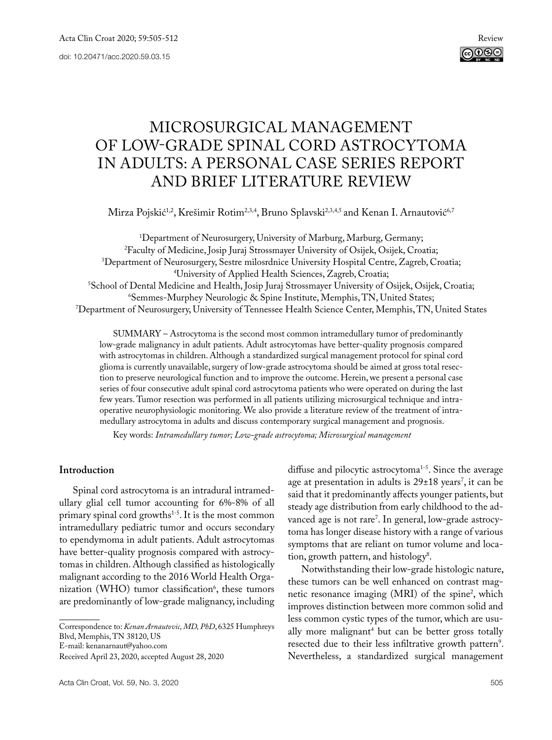

# MICROSURGICAL MANAGEMENT OF LOW-GRADE SPINAL CORD ASTROCYTOMA IN ADULTS: A PERSONAL CASE SERIES REPORT AND BRIEF LITERATURE REVIEW

Mirza Pojskić<sup>1,2</sup>, Krešimir Rotim<sup>2,3,4</sup>, Bruno Splavski<sup>2,3,4,5</sup> and Kenan I. Arnautović<sup>6,7</sup>

<sup>1</sup>Department of Neurosurgery, University of Marburg, Marburg, Germany; <sup>2</sup>Faculty of Medicine, Josip Juraj Strossmayer University of Osijek, Osijek, Croatia; Faculty of Medicine, Josip Juraj Strossmayer University of Osijek, Osijek, Croatia; 3 Department of Neurosurgery, Sestre milosrdnice University Hospital Centre, Zagreb, Croatia; 4 University of Applied Health Sciences, Zagreb, Croatia;<br>School of Dental Medicine and Health. Iosin Iurai Strossmaver University of C School of Dental Medicine and Health, Josip Juraj Strossmayer University of Osijek, Osijek, Croatia;<br>6.6 Semmes-Murphey Neurologic & Spine Institute. Memphis. TN. United States: Semmes-Murphey Neurologic & Spine Institute, Memphis, TN, United States; 7 Department of Neurosurgery, University of Tennessee Health Science Center, Memphis, TN, United States

SUMMARY – Astrocytoma is the second most common intramedullary tumor of predominantly low-grade malignancy in adult patients. Adult astrocytomas have better-quality prognosis compared with astrocytomas in children. Although a standardized surgical management protocol for spinal cord glioma is currently unavailable, surgery of low-grade astrocytoma should be aimed at gross total resection to preserve neurological function and to improve the outcome. Herein, we present a personal case series of four consecutive adult spinal cord astrocytoma patients who were operated on during the last few years. Tumor resection was performed in all patients utilizing microsurgical technique and intraoperative neurophysiologic monitoring. We also provide a literature review of the treatment of intramedullary astrocytoma in adults and discuss contemporary surgical management and prognosis.

Key words: *Intramedullary tumor; Low-grade astrocytoma; Microsurgical management*

# **Introduction**

Spinal cord astrocytoma is an intradural intramedullary glial cell tumor accounting for 6%-8% of all primary spinal cord growths<sup>1-5</sup>. It is the most common intramedullary pediatric tumor and occurs secondary to ependymoma in adult patients. Adult astrocytomas have better-quality prognosis compared with astrocytomas in children. Although classified as histologically malignant according to the 2016 World Health Organization (WHO) tumor classification<sup>6</sup>, these tumors are predominantly of low-grade malignancy, including

Correspondence to: *Kenan Arnautovic, MD, PhD*, 6325 Humphreys Blvd, Memphis, TN 38120, US E-mail: [kenanarnaut@yahoo.com](mailto:kenanarnaut@yahoo.com) Received April 23, 2020, accepted August 28, 2020

Acta Clin Croat, Vol. 59, No. 3, 2020 505

diffuse and pilocytic astrocytoma<sup>1-5</sup>. Since the average age at presentation in adults is  $29\pm18$  years<sup>7</sup>, it can be said that it predominantly affects younger patients, but steady age distribution from early childhood to the advanced age is not rare7 . In general, low-grade astrocytoma has longer disease history with a range of various symptoms that are reliant on tumor volume and location, growth pattern, and histology<sup>8</sup>.

Notwithstanding their low-grade histologic nature, these tumors can be well enhanced on contrast magnetic resonance imaging (MRI) of the spine<sup>2</sup>, which improves distinction between more common solid and less common cystic types of the tumor, which are usually more malignant<sup>4</sup> but can be better gross totally resected due to their less infiltrative growth pattern<sup>9</sup>. Nevertheless, a standardized surgical management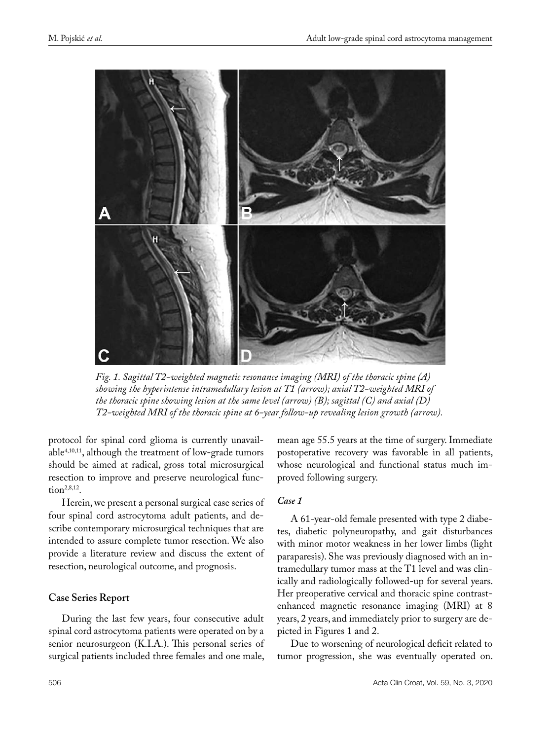

*Fig. 1. Sagittal T2-weighted magnetic resonance imaging (MRI) of the thoracic spine (A) showing the hyperintense intramedullary lesion at T1 (arrow); axial T2-weighted MRI of the thoracic spine showing lesion at the same level (arrow) (B); sagittal (C) and axial (D) T2-weighted MRI of the thoracic spine at 6-year follow-up revealing lesion growth (arrow).*

protocol for spinal cord glioma is currently unavailable4,10,11, although the treatment of low-grade tumors should be aimed at radical, gross total microsurgical resection to improve and preserve neurological function $2,8,12$ .

Herein, we present a personal surgical case series of four spinal cord astrocytoma adult patients, and describe contemporary microsurgical techniques that are intended to assure complete tumor resection. We also provide a literature review and discuss the extent of resection, neurological outcome, and prognosis.

# **Case Series Report**

During the last few years, four consecutive adult spinal cord astrocytoma patients were operated on by a senior neurosurgeon (K.I.A.). This personal series of surgical patients included three females and one male, mean age 55.5 years at the time of surgery. Immediate postoperative recovery was favorable in all patients, whose neurological and functional status much improved following surgery.

# *Case 1*

A 61-year-old female presented with type 2 diabetes, diabetic polyneuropathy, and gait disturbances with minor motor weakness in her lower limbs (light paraparesis). She was previously diagnosed with an intramedullary tumor mass at the T1 level and was clinically and radiologically followed-up for several years. Her preoperative cervical and thoracic spine contrastenhanced magnetic resonance imaging (MRI) at 8 years, 2 years, and immediately prior to surgery are depicted in Figures 1 and 2.

Due to worsening of neurological deficit related to tumor progression, she was eventually operated on.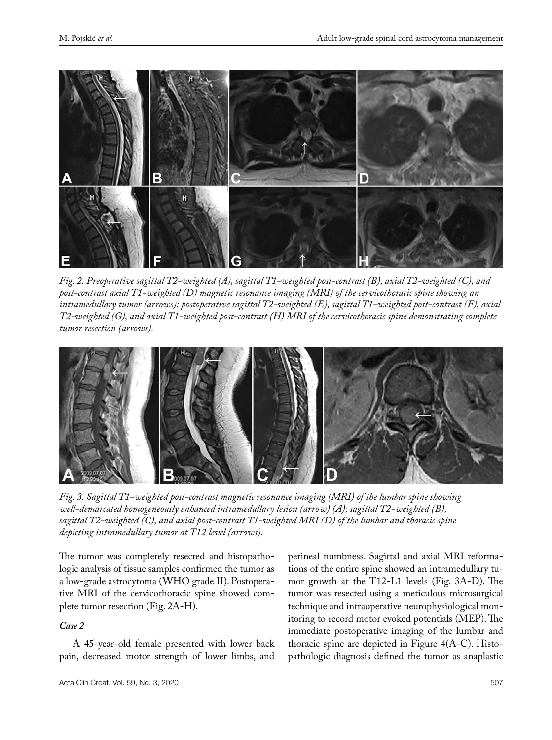

*Fig. 2. Preoperative sagittal T2-weighted (A), sagittal T1-weighted post-contrast (B), axial T2-weighted (C), and post-contrast axial T1-weighted (D) magnetic resonance imaging (MRI) of the cervicothoracic spine showing an intramedullary tumor (arrows); postoperative sagittal T2-weighted (E), sagittal T1-weighted post-contrast (F), axial T2-weighted (G), and axial T1-weighted post-contrast (H) MRI of the cervicothoracic spine demonstrating complete tumor resection (arrows).*



*Fig. 3. Sagittal T1-weighted post-contrast magnetic resonance imaging (MRI) of the lumbar spine showing well-demarcated homogeneously enhanced intramedullary lesion (arrow) (A); sagittal T2-weighted (B), sagittal T2-weighted (C), and axial post-contrast T1-weighted MRI (D) of the lumbar and thoracic spine depicting intramedullary tumor at T12 level (arrows).*

The tumor was completely resected and histopathologic analysis of tissue samples confirmed the tumor as a low-grade astrocytoma (WHO grade II). Postoperative MRI of the cervicothoracic spine showed complete tumor resection (Fig. 2A-H).

# *Case 2*

A 45-year-old female presented with lower back pain, decreased motor strength of lower limbs, and

perineal numbness. Sagittal and axial MRI reformations of the entire spine showed an intramedullary tumor growth at the T12-L1 levels (Fig. 3A-D). The tumor was resected using a meticulous microsurgical technique and intraoperative neurophysiological monitoring to record motor evoked potentials (MEP). The immediate postoperative imaging of the lumbar and thoracic spine are depicted in Figure 4(A-C). Histopathologic diagnosis defined the tumor as anaplastic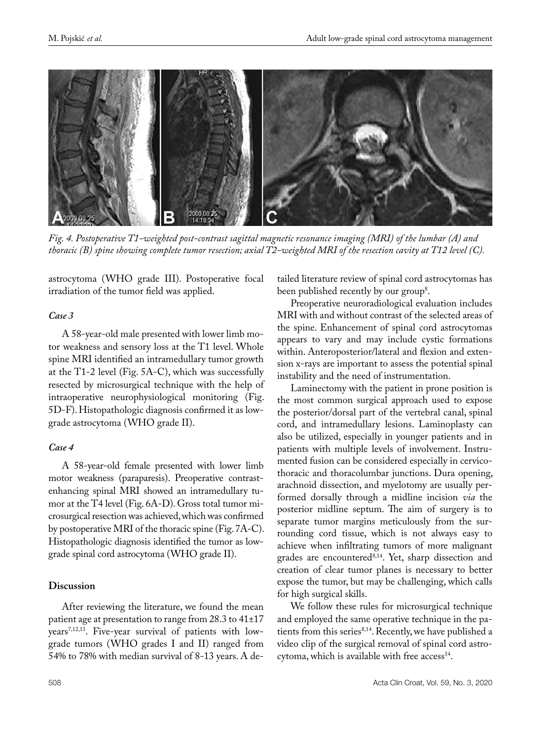

*Fig. 4. Postoperative T1-weighted post-contrast sagittal magnetic resonance imaging (MRI) of the lumbar (A) and thoracic (B) spine showing complete tumor resection; axial T2-weighted MRI of the resection cavity at T12 level (C).*

astrocytoma (WHO grade III). Postoperative focal irradiation of the tumor field was applied.

# *Case 3*

A 58-year-old male presented with lower limb motor weakness and sensory loss at the T1 level. Whole spine MRI identified an intramedullary tumor growth at the T1-2 level (Fig. 5A-C), which was successfully resected by microsurgical technique with the help of intraoperative neurophysiological monitoring (Fig. 5D-F). Histopathologic diagnosis confirmed it as lowgrade astrocytoma (WHO grade II).

# *Case 4*

A 58-year-old female presented with lower limb motor weakness (paraparesis). Preoperative contrastenhancing spinal MRI showed an intramedullary tumor at the T4 level (Fig. 6A-D). Gross total tumor microsurgical resection was achieved, which was confirmed by postoperative MRI of the thoracic spine (Fig. 7A-C). Histopathologic diagnosis identified the tumor as lowgrade spinal cord astrocytoma (WHO grade II).

# **Discussion**

After reviewing the literature, we found the mean patient age at presentation to range from 28.3 to 41±17 years<sup>7,12,13</sup>. Five-year survival of patients with lowgrade tumors (WHO grades I and II) ranged from 54% to 78% with median survival of 8-13 years. A detailed literature review of spinal cord astrocytomas has been published recently by our group<sup>8</sup>.

Preoperative neuroradiological evaluation includes MRI with and without contrast of the selected areas of the spine. Enhancement of spinal cord astrocytomas appears to vary and may include cystic formations within. Anteroposterior/lateral and flexion and extension x-rays are important to assess the potential spinal instability and the need of instrumentation.

Laminectomy with the patient in prone position is the most common surgical approach used to expose the posterior/dorsal part of the vertebral canal, spinal cord, and intramedullary lesions. Laminoplasty can also be utilized, especially in younger patients and in patients with multiple levels of involvement. Instrumented fusion can be considered especially in cervicothoracic and thoracolumbar junctions. Dura opening, arachnoid dissection, and myelotomy are usually performed dorsally through a midline incision *via* the posterior midline septum. The aim of surgery is to separate tumor margins meticulously from the surrounding cord tissue, which is not always easy to achieve when infiltrating tumors of more malignant grades are encountered<sup>8,14</sup>. Yet, sharp dissection and creation of clear tumor planes is necessary to better expose the tumor, but may be challenging, which calls for high surgical skills.

We follow these rules for microsurgical technique and employed the same operative technique in the patients from this series<sup>8,14</sup>. Recently, we have published a video clip of the surgical removal of spinal cord astrocytoma, which is available with free access<sup>14</sup>.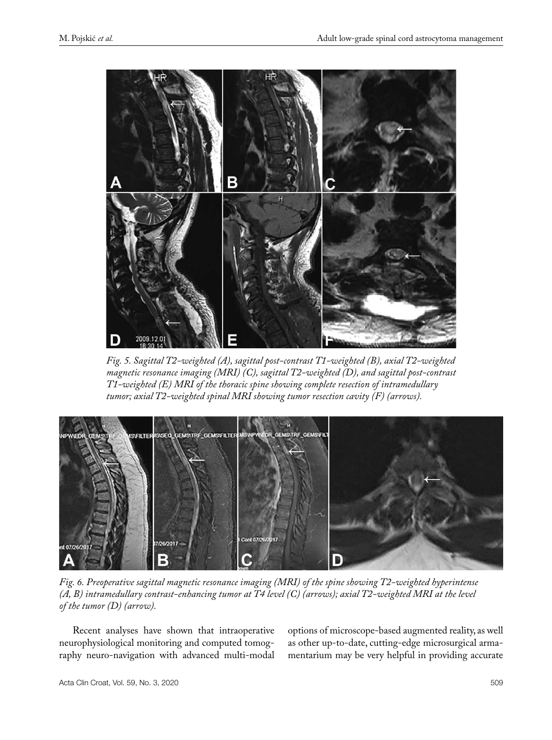

*Fig. 5. Sagittal T2-weighted (A), sagittal post-contrast T1-weighted (B), axial T2-weighted magnetic resonance imaging (MRI) (C), sagittal T2-weighted (D), and sagittal post-contrast T1-weighted (E) MRI of the thoracic spine showing complete resection of intramedullary tumor; axial T2-weighted spinal MRI showing tumor resection cavity (F) (arrows).*



*Fig. 6. Preoperative sagittal magnetic resonance imaging (MRI) of the spine showing T2-weighted hyperintense (A, B) intramedullary contrast-enhancing tumor at T4 level (C) (arrows); axial T2-weighted MRI at the level of the tumor (D) (arrow).*

Recent analyses have shown that intraoperative neurophysiological monitoring and computed tomography neuro-navigation with advanced multi-modal options of microscope-based augmented reality, as well as other up-to-date, cutting-edge microsurgical armamentarium may be very helpful in providing accurate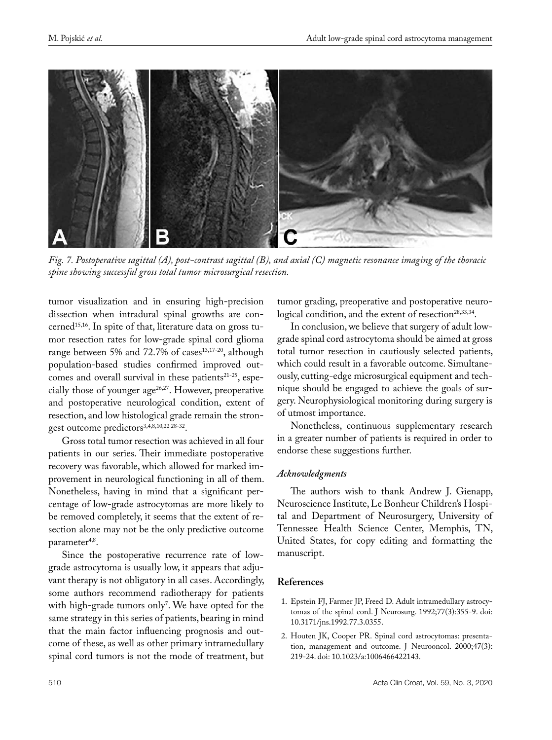

*Fig. 7. Postoperative sagittal (A), post-contrast sagittal (B), and axial (C) magnetic resonance imaging of the thoracic spine showing successful gross total tumor microsurgical resection.*

tumor visualization and in ensuring high-precision dissection when intradural spinal growths are concerned<sup>15,16</sup>. In spite of that, literature data on gross tumor resection rates for low-grade spinal cord glioma range between 5% and 72.7% of cases $13,17-20$ , although population-based studies confirmed improved outcomes and overall survival in these patients $21-25$ , especially those of younger  $age^{26,27}$ . However, preoperative and postoperative neurological condition, extent of resection, and low histological grade remain the strongest outcome predictors<sup>3,4,8,10,22 28-32</sup>.

Gross total tumor resection was achieved in all four patients in our series. Their immediate postoperative recovery was favorable, which allowed for marked improvement in neurological functioning in all of them. Nonetheless, having in mind that a significant percentage of low-grade astrocytomas are more likely to be removed completely, it seems that the extent of resection alone may not be the only predictive outcome parameter<sup>4,8</sup>.

Since the postoperative recurrence rate of lowgrade astrocytoma is usually low, it appears that adjuvant therapy is not obligatory in all cases. Accordingly, some authors recommend radiotherapy for patients with high-grade tumors only<sup>7</sup>. We have opted for the same strategy in this series of patients, bearing in mind that the main factor influencing prognosis and outcome of these, as well as other primary intramedullary spinal cord tumors is not the mode of treatment, but

tumor grading, preoperative and postoperative neurological condition, and the extent of resection<sup>28,33,34</sup>.

In conclusion, we believe that surgery of adult lowgrade spinal cord astrocytoma should be aimed at gross total tumor resection in cautiously selected patients, which could result in a favorable outcome. Simultaneously, cutting-edge microsurgical equipment and technique should be engaged to achieve the goals of surgery. Neurophysiological monitoring during surgery is of utmost importance.

Nonetheless, continuous supplementary research in a greater number of patients is required in order to endorse these suggestions further.

# *Acknowledgments*

The authors wish to thank Andrew J. Gienapp, Neuroscience Institute, Le Bonheur Children's Hospital and Department of Neurosurgery, University of Tennessee Health Science Center, Memphis, TN, United States, for copy editing and formatting the manuscript.

# **References**

- 1. Epstein FJ, Farmer JP, Freed D. Adult intramedullary astrocytomas of the spinal cord. J Neurosurg. 1992;77(3):355-9. doi: 10.3171/jns.1992.77.3.0355.
- 2. Houten JK, Cooper PR. Spinal cord astrocytomas: presentation, management and outcome. J Neurooncol. 2000;47(3): 219-24. doi: 10.1023/a:1006466422143.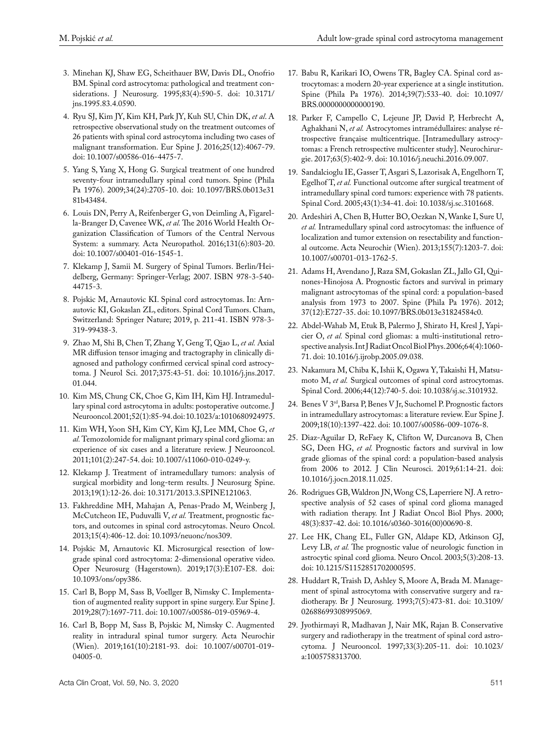- 3. Minehan KJ, Shaw EG, Scheithauer BW, Davis DL, Onofrio BM. Spinal cord astrocytoma: pathological and treatment considerations. J Neurosurg. 1995;83(4):590-5. doi: 10.3171/ jns.1995.83.4.0590.
- 4. Ryu SJ, Kim JY, Kim KH, Park JY, Kuh SU, Chin DK, *et al*. A retrospective observational study on the treatment outcomes of 26 patients with spinal cord astrocytoma including two cases of malignant transformation. Eur Spine J. 2016;25(12):4067-79. doi: 10.1007/s00586-016-4475-7.
- 5. Yang S, Yang X, Hong G. Surgical treatment of one hundred seventy-four intramedullary spinal cord tumors. Spine (Phila Pa 1976). 2009;34(24):2705-10. doi: 10.1097/BRS.0b013e31 81b43484.
- 6. Louis DN, Perry A, Reifenberger G, von Deimling A, Figarella-Branger D, Cavenee WK, *et al.* The 2016 World Health Organization Classification of Tumors of the Central Nervous System: a summary. Acta Neuropathol. 2016;131(6):803-20. doi: 10.1007/s00401-016-1545-1.
- 7. Klekamp J, Samii M. Surgery of Spinal Tumors. Berlin/Heidelberg, Germany: Springer-Verlag; 2007. ISBN 978-3-540- 44715-3.
- 8. Pojskic M, Arnautovic KI. Spinal cord astrocytomas. In: Arnautovic KI, Gokaslan ZL, editors. Spinal Cord Tumors. Cham, Switzerland: Springer Nature; 2019, p. 211-41. ISBN 978-3- 319-99438-3.
- 9. Zhao M, Shi B, Chen T, Zhang Y, Geng T, Qiao L, *et al.* Axial MR diffusion tensor imaging and tractography in clinically diagnosed and pathology confirmed cervical spinal cord astrocytoma. J Neurol Sci. 2017;375:43-51. doi: 10.1016/j.jns.2017. 01.044.
- 10. Kim MS, Chung CK, Choe G, Kim IH, Kim HJ. Intramedullary spinal cord astrocytoma in adults: postoperative outcome. J Neurooncol. 2001;52(1):85-94. doi: 10.1023/a:1010680924975.
- 11. Kim WH, Yoon SH, Kim CY, Kim KJ, Lee MM, Choe G, *et al.* Temozolomide for malignant primary spinal cord glioma: an experience of six cases and a literature review. J Neurooncol. 2011;101(2):247-54. doi: 10.1007/s11060-010-0249-y.
- 12. Klekamp J. Treatment of intramedullary tumors: analysis of surgical morbidity and long-term results. J Neurosurg Spine. 2013;19(1):12-26. doi: 10.3171/2013.3.SPINE121063.
- 13. Fakhreddine MH, Mahajan A, Penas-Prado M, Weinberg J, McCutcheon IE, Puduvalli V, *et al.* Treatment, prognostic factors, and outcomes in spinal cord astrocytomas. Neuro Oncol. 2013;15(4):406-12. doi: 10.1093/neuonc/nos309.
- 14. Pojskic M, Arnautovic KI. Microsurgical resection of lowgrade spinal cord astrocytoma: 2-dimensional operative video. Oper Neurosurg (Hagerstown). 2019;17(3):E107-E8. doi: 10.1093/ons/opy386.
- 15. Carl B, Bopp M, Sass B, Voellger B, Nimsky C. Implementation of augmented reality support in spine surgery. Eur Spine J. 2019;28(7):1697-711. doi: 10.1007/s00586-019-05969-4.
- 16. Carl B, Bopp M, Sass B, Pojskic M, Nimsky C. Augmented reality in intradural spinal tumor surgery. Acta Neurochir (Wien). 2019;161(10):2181-93. doi: 10.1007/s00701-019- 04005-0.
- 17. Babu R, Karikari IO, Owens TR, Bagley CA. Spinal cord astrocytomas: a modern 20-year experience at a single institution. Spine (Phila Pa 1976). 2014;39(7):533-40. doi: 10.1097/ BRS.0000000000000190.
- 18. Parker F, Campello C, Lejeune JP, David P, Herbrecht A, Aghakhani N, *et al.* Astrocytomes intramédullaires: analyse rétrospective française multicentrique. [Intramedullary astrocytomas: a French retrospective multicenter study]. Neurochirurgie. 2017;63(5):402-9. doi: 10.1016/j.neuchi.2016.09.007.
- 19. Sandalcioglu IE, Gasser T, Asgari S, Lazorisak A, Engelhorn T, Egelhof T, *et al.* Functional outcome after surgical treatment of intramedullary spinal cord tumors: experience with 78 patients. Spinal Cord. 2005;43(1):34-41. doi: 10.1038/sj.sc.3101668.
- 20. Ardeshiri A, Chen B, Hutter BO, Oezkan N, Wanke I, Sure U, *et al.* Intramedullary spinal cord astrocytomas: the influence of localization and tumor extension on resectability and functional outcome. Acta Neurochir (Wien). 2013;155(7):1203-7. doi: 10.1007/s00701-013-1762-5.
- 21. Adams H, Avendano J, Raza SM, Gokaslan ZL, Jallo GI, Quinones-Hinojosa A. Prognostic factors and survival in primary malignant astrocytomas of the spinal cord: a population-based analysis from 1973 to 2007. Spine (Phila Pa 1976). 2012; 37(12):E727-35. doi: 10.1097/BRS.0b013e31824584c0.
- 22. Abdel-Wahab M, Etuk B, Palermo J, Shirato H, Kresl J, Yapicier O, *et al.* Spinal cord gliomas: a multi-institutional retrospective analysis. Int J Radiat Oncol Biol Phys. 2006;64(4):1060- 71. doi: 10.1016/j.ijrobp.2005.09.038.
- 23. Nakamura M, Chiba K, Ishii K, Ogawa Y, Takaishi H, Matsumoto M, *et al.* Surgical outcomes of spinal cord astrocytomas. Spinal Cord. 2006;44(12):740-5. doi: 10.1038/sj.sc.3101932.
- 24. Benes V 3rd, Barsa P, Benes V Jr, Suchomel P. Prognostic factors in intramedullary astrocytomas: a literature review. Eur Spine J. 2009;18(10):1397-422. doi: 10.1007/s00586-009-1076-8.
- 25. Diaz-Aguilar D, ReFaey K, Clifton W, Durcanova B, Chen SG, Deen HG, *et al.* Prognostic factors and survival in low grade gliomas of the spinal cord: a population-based analysis from 2006 to 2012. J Clin Neurosci. 2019;61:14-21. doi: 10.1016/j.jocn.2018.11.025.
- 26. Rodrigues GB, Waldron JN, Wong CS, Laperriere NJ. A retrospective analysis of 52 cases of spinal cord glioma managed with radiation therapy. Int J Radiat Oncol Biol Phys. 2000; 48(3):837-42. doi: 10.1016/s0360-3016(00)00690-8.
- 27. Lee HK, Chang EL, Fuller GN, Aldape KD, Atkinson GJ, Levy LB, *et al.* The prognostic value of neurologic function in astrocytic spinal cord glioma. Neuro Oncol. 2003;5(3):208-13. doi: 10.1215/S1152851702000595.
- 28. Huddart R, Traish D, Ashley S, Moore A, Brada M. Management of spinal astrocytoma with conservative surgery and radiotherapy. Br J Neurosurg. 1993;7(5):473-81. doi: 10.3109/ 02688699308995069.
- 29. Jyothirmayi R, Madhavan J, Nair MK, Rajan B. Conservative surgery and radiotherapy in the treatment of spinal cord astrocytoma. J Neurooncol. 1997;33(3):205-11. doi: 10.1023/ a:1005758313700.